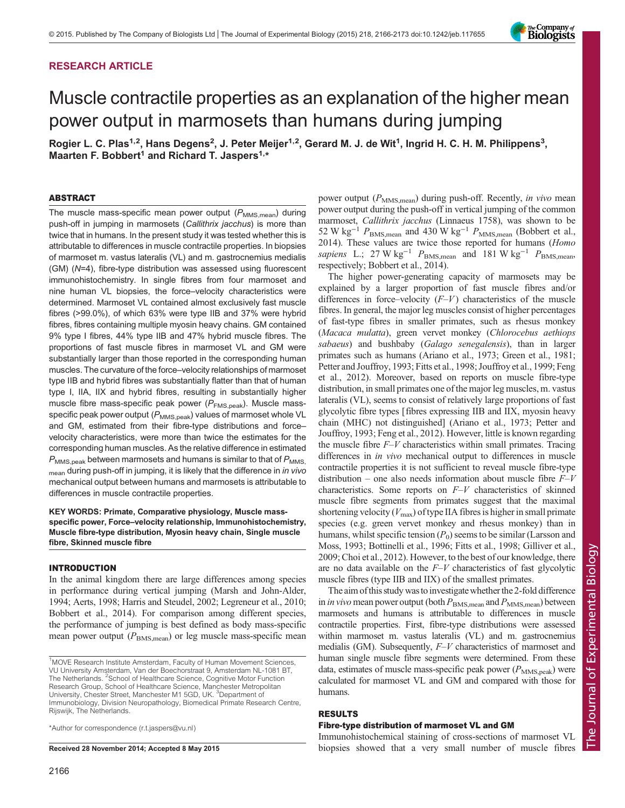# RESEARCH ARTICLE



# Muscle contractile properties as an explanation of the higher mean power output in marmosets than humans during jumping

Rogier L. C. Plas<sup>1,2</sup>, Hans Degens<sup>2</sup>, J. Peter Meijer<sup>1,2</sup>, Gerard M. J. de Wit<sup>1</sup>, Ingrid H. C. H. M. Philippens<sup>3</sup>, Maarten F. Bobbert<sup>1</sup> and Richard T. Jaspers<sup>1,\*</sup>

#### ABSTRACT

The muscle mass-specific mean power output  $(P_{MMS,mean})$  during push-off in jumping in marmosets (Callithrix jacchus) is more than twice that in humans. In the present study it was tested whether this is attributable to differences in muscle contractile properties. In biopsies of marmoset m. vastus lateralis (VL) and m. gastrocnemius medialis (GM) (N=4), fibre-type distribution was assessed using fluorescent immunohistochemistry. In single fibres from four marmoset and nine human VL biopsies, the force–velocity characteristics were determined. Marmoset VL contained almost exclusively fast muscle fibres (>99.0%), of which 63% were type IIB and 37% were hybrid fibres, fibres containing multiple myosin heavy chains. GM contained 9% type I fibres, 44% type IIB and 47% hybrid muscle fibres. The proportions of fast muscle fibres in marmoset VL and GM were substantially larger than those reported in the corresponding human muscles. The curvature of the force–velocity relationships of marmoset type IIB and hybrid fibres was substantially flatter than that of human type I, IIA, IIX and hybrid fibres, resulting in substantially higher muscle fibre mass-specific peak power ( $P_{FMS,peak}$ ). Muscle massspecific peak power output  $(P_{\text{MMS,peak}})$  values of marmoset whole VL and GM, estimated from their fibre-type distributions and force– velocity characteristics, were more than twice the estimates for the corresponding human muscles. As the relative difference in estimated  $P_{MMS,peak}$  between marmosets and humans is similar to that of  $P_{MMS}$ mean during push-off in jumping, it is likely that the difference in in vivo mechanical output between humans and marmosets is attributable to differences in muscle contractile properties.

## KEY WORDS: Primate, Comparative physiology, Muscle massspecific power, Force–velocity relationship, Immunohistochemistry, Muscle fibre-type distribution, Myosin heavy chain, Single muscle fibre, Skinned muscle fibre

#### INTRODUCTION

In the animal kingdom there are large differences among species in performance during vertical jumping ([Marsh and John-Alder,](#page-7-0) [1994; Aerts, 1998; Harris and Steudel, 2002; Legreneur et al., 2010](#page-7-0); [Bobbert et al., 2014\)](#page-7-0). For comparison among different species, the performance of jumping is best defined as body mass-specific mean power output  $(P_{\text{BMS},\text{mean}})$  or leg muscle mass-specific mean

\*Author for correspondence [\(r.t.jaspers@vu.nl](mailto:r.t.jaspers@vu.nl))

power output  $(P_{\text{MMS,mean}})$  during push-off. Recently, in vivo mean power output during the push-off in vertical jumping of the common marmoset, Callithrix jacchus (Linnaeus 1758), was shown to be 52 W kg<sup>-1</sup>  $P_{\text{BMS,mean}}$  and 430 W kg<sup>-1</sup>  $P_{\text{MMS,mean}}$  ([Bobbert et al.,](#page-7-0) [2014\)](#page-7-0). These values are twice those reported for humans (Homo sapiens L.; 27 W kg<sup>-1</sup>  $P_{\text{BMS,mean}}$  and 181 W kg<sup>-1</sup>  $P_{\text{BMS,mean}}$ , respectively; [Bobbert et al., 2014](#page-7-0)).

The higher power-generating capacity of marmosets may be explained by a larger proportion of fast muscle fibres and/or differences in force–velocity  $(F-V)$  characteristics of the muscle fibres. In general, the major leg muscles consist of higher percentages of fast-type fibres in smaller primates, such as rhesus monkey (Macaca mulatta), green vervet monkey (Chlorocebus aethiops sabaeus) and bushbaby (Galago senegalensis), than in larger primates such as humans ([Ariano et al., 1973](#page-7-0); [Green et al., 1981](#page-7-0); [Petter and Jouffroy, 1993](#page-7-0); [Fitts et al., 1998](#page-7-0); [Jouffroy et al., 1999](#page-7-0); [Feng](#page-7-0) [et al., 2012](#page-7-0)). Moreover, based on reports on muscle fibre-type distribution, in small primates one of the major leg muscles, m. vastus lateralis (VL), seems to consist of relatively large proportions of fast glycolytic fibre types [fibres expressing IIB and IIX, myosin heavy chain (MHC) not distinguished] ([Ariano et al., 1973; Petter and](#page-7-0) [Jouffroy, 1993; Feng et al., 2012\)](#page-7-0). However, little is known regarding the muscle fibre  $F-V$  characteristics within small primates. Tracing differences in in vivo mechanical output to differences in muscle contractile properties it is not sufficient to reveal muscle fibre-type distribution – one also needs information about muscle fibre  $F-V$ characteristics. Some reports on  $F-V$  characteristics of skinned muscle fibre segments from primates suggest that the maximal shortening velocity ( $V_{\text{max}}$ ) of type IIA fibres is higher in small primate species (e.g. green vervet monkey and rhesus monkey) than in humans, whilst specific tension  $(P_0)$  seems to be similar [\(Larsson and](#page-7-0) [Moss, 1993](#page-7-0); [Bottinelli et al., 1996; Fitts et al., 1998](#page-7-0); [Gilliver et al.,](#page-7-0) [2009; Choi et al., 2012\)](#page-7-0). However, to the best of our knowledge, there are no data available on the  $F-V$  characteristics of fast glycolytic muscle fibres (type IIB and IIX) of the smallest primates.

The aim of this study was to investigate whether the 2-fold difference in *in vivo* mean power output (both  $P_{\text{BMS,mean}}$  and  $P_{\text{MMS,mean}}$ ) between marmosets and humans is attributable to differences in muscle contractile properties. First, fibre-type distributions were assessed within marmoset m. vastus lateralis (VL) and m. gastrocnemius medialis (GM). Subsequently,  $F-V$  characteristics of marmoset and human single muscle fibre segments were determined. From these data, estimates of muscle mass-specific peak power  $(P_{\text{MMS},\text{peak}})$  were calculated for marmoset VL and GM and compared with those for humans.

## RESULTS

## Fibre-type distribution of marmoset VL and GM

Immunohistochemical staining of cross-sections of marmoset VL Received 28 November 2014; Accepted 8 May 2015 biopsies showed that a very small number of muscle fibres

<sup>&</sup>lt;sup>1</sup>MOVE Research Institute Amsterdam, Faculty of Human Movement Sciences, VU University Amsterdam, Van der Boechorstraat 9, Amsterdam NL-1081 BT, The Netherlands. <sup>2</sup>School of Healthcare Science, Cognitive Motor Function Research Group, School of Healthcare Science, Manchester Metropolitan University, Chester Street, Manchester M1 5GD, UK. <sup>3</sup>Department of Immunobiology, Division Neuropathology, Biomedical Primate Research Centre, Rijswijk, The Netherlands.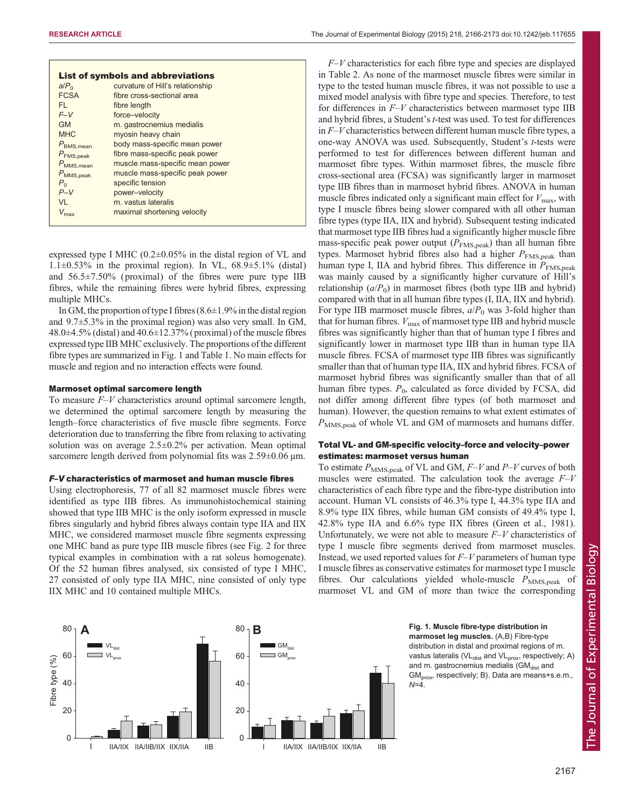| <b>List of symbols and abbreviations</b>                         |  |  |  |  |  |  |  |
|------------------------------------------------------------------|--|--|--|--|--|--|--|
| curvature of Hill's relationship<br>a/P <sub>0</sub>             |  |  |  |  |  |  |  |
| <b>FCSA</b><br>fibre cross-sectional area                        |  |  |  |  |  |  |  |
| FI.<br>fibre length                                              |  |  |  |  |  |  |  |
| $F-V$<br>force-velocity                                          |  |  |  |  |  |  |  |
| m. gastrocnemius medialis<br>GM                                  |  |  |  |  |  |  |  |
| <b>MHC</b><br>myosin heavy chain                                 |  |  |  |  |  |  |  |
| body mass-specific mean power<br>$P_{\text{BMS},\text{mean}}$    |  |  |  |  |  |  |  |
| fibre mass-specific peak power<br>$P_{\text{FMS,peak}}$          |  |  |  |  |  |  |  |
| muscle mass-specific mean power<br>$P_{\text{MMS}, \text{mean}}$ |  |  |  |  |  |  |  |
| muscle mass-specific peak power<br>$P_{\text{MMS,peak}}$         |  |  |  |  |  |  |  |
| specific tension<br>$P_{\alpha}$                                 |  |  |  |  |  |  |  |
| $P-V$<br>power-velocity                                          |  |  |  |  |  |  |  |
| m. vastus lateralis<br>VI                                        |  |  |  |  |  |  |  |
| maximal shortening velocity                                      |  |  |  |  |  |  |  |

expressed type I MHC (0.2±0.05% in the distal region of VL and  $1.1\pm0.53\%$  in the proximal region). In VL,  $68.9\pm5.1\%$  (distal) and 56.5±7.50% ( proximal) of the fibres were pure type IIB fibres, while the remaining fibres were hybrid fibres, expressing multiple MHCs.

In GM, the proportion of type I fibres  $(8.6 \pm 1.9\%$  in the distal region and 9.7±5.3% in the proximal region) was also very small. In GM,  $48.0\pm4.5\%$  (distal) and  $40.6\pm12.37\%$  (proximal) of the muscle fibres expressed type IIB MHC exclusively. The proportions of the different fibre types are summarized in Fig. 1 and [Table 1.](#page-2-0) No main effects for muscle and region and no interaction effects were found.

#### Marmoset optimal sarcomere length

To measure  $F-V$  characteristics around optimal sarcomere length, we determined the optimal sarcomere length by measuring the length–force characteristics of five muscle fibre segments. Force deterioration due to transferring the fibre from relaxing to activating solution was on average 2.5±0.2% per activation. Mean optimal sarcomere length derived from polynomial fits was  $2.59\pm0.06$  µm.

#### F–V characteristics of marmoset and human muscle fibres

Using electrophoresis, 77 of all 82 marmoset muscle fibres were identified as type IIB fibres. As immunohistochemical staining showed that type IIB MHC is the only isoform expressed in muscle fibres singularly and hybrid fibres always contain type IIA and IIX MHC, we considered marmoset muscle fibre segments expressing one MHC band as pure type IIB muscle fibres (see [Fig. 2](#page-2-0) for three typical examples in combination with a rat soleus homogenate). Of the 52 human fibres analysed, six consisted of type I MHC, 27 consisted of only type IIA MHC, nine consisted of only type IIX MHC and 10 contained multiple MHCs.

 $F-V$  characteristics for each fibre type and species are displayed in [Table 2.](#page-3-0) As none of the marmoset muscle fibres were similar in type to the tested human muscle fibres, it was not possible to use a mixed model analysis with fibre type and species. Therefore, to test for differences in  $F-V$  characteristics between marmoset type IIB and hybrid fibres, a Student's t-test was used. To test for differences in F–V characteristics between different human muscle fibre types, a one-way ANOVA was used. Subsequently, Student's t-tests were performed to test for differences between different human and marmoset fibre types. Within marmoset fibres, the muscle fibre cross-sectional area (FCSA) was significantly larger in marmoset type IIB fibres than in marmoset hybrid fibres. ANOVA in human muscle fibres indicated only a significant main effect for  $V_{\text{max}}$ , with type I muscle fibres being slower compared with all other human fibre types (type IIA, IIX and hybrid). Subsequent testing indicated that marmoset type IIB fibres had a significantly higher muscle fibre mass-specific peak power output  $(P_{\text{FMS,peak}})$  than all human fibre types. Marmoset hybrid fibres also had a higher  $P_{\text{FMS,peak}}$  than human type I, IIA and hybrid fibres. This difference in  $P_{\text{FMS,peak}}$ was mainly caused by a significantly higher curvature of Hill's relationship  $(a/P_0)$  in marmoset fibres (both type IIB and hybrid) compared with that in all human fibre types (I, IIA, IIX and hybrid). For type IIB marmoset muscle fibres,  $a/P_0$  was 3-fold higher than that for human fibres.  $V_{\text{max}}$  of marmoset type IIB and hybrid muscle fibres was significantly higher than that of human type I fibres and significantly lower in marmoset type IIB than in human type IIA muscle fibres. FCSA of marmoset type IIB fibres was significantly smaller than that of human type IIA, IIX and hybrid fibres. FCSA of marmoset hybrid fibres was significantly smaller than that of all human fibre types.  $P_0$ , calculated as force divided by FCSA, did not differ among different fibre types (of both marmoset and human). However, the question remains to what extent estimates of  $P_{\text{MMS},\text{peak}}$  of whole VL and GM of marmosets and humans differ.

## Total VL- and GM-specific velocity–force and velocity–power estimates: marmoset versus human

To estimate  $P_{\text{MMS},\text{peak}}$  of VL and GM,  $F-V$  and  $P-V$  curves of both muscles were estimated. The calculation took the average  $F-V$ characteristics of each fibre type and the fibre-type distribution into account. Human VL consists of 46.3% type I, 44.3% type IIA and 8.9% type IIX fibres, while human GM consists of 49.4% type I, 42.8% type IIA and 6.6% type IIX fibres ([Green et al., 1981\)](#page-7-0). Unfortunately, we were not able to measure  $F-V$  characteristics of type I muscle fibre segments derived from marmoset muscles. Instead, we used reported values for  $F-V$  parameters of human type I muscle fibres as conservative estimates for marmoset type I muscle fibres. Our calculations yielded whole-muscle  $P_{\text{MMS,peak}}$  of marmoset VL and GM of more than twice the corresponding



marmoset leg muscles. (A,B) Fibre-type distribution in distal and proximal regions of m. vastus lateralis (VL<sub>dist</sub> and VL<sub>prox</sub>, respectively; A) and m. gastrocnemius medialis ( $GM<sub>dist</sub>$  and  $GM<sub>orox</sub>$ , respectively; B). Data are means+s.e.m.  $N=4$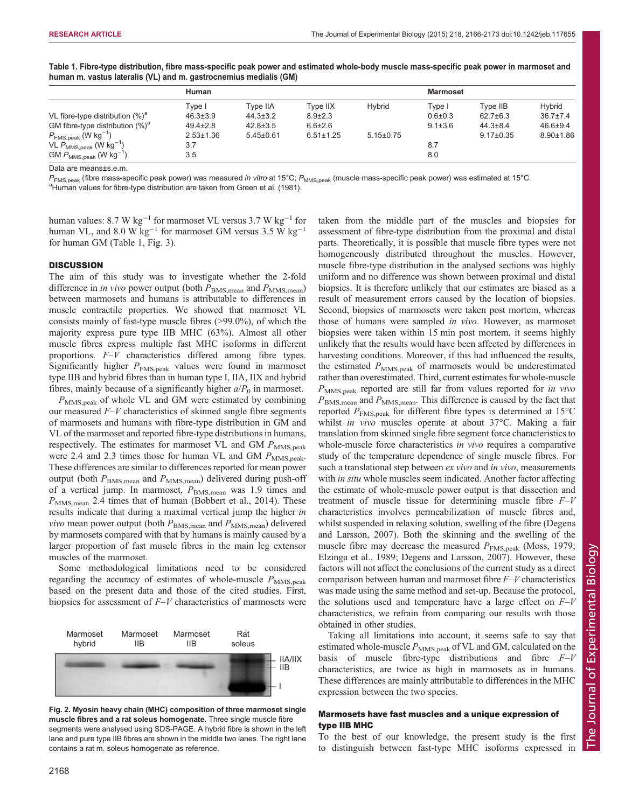taken from the middle part of the muscles and biopsies for

|                                             | <b>Human</b>    |                 |                 |                 | <b>Marmoset</b> |                 |                 |
|---------------------------------------------|-----------------|-----------------|-----------------|-----------------|-----------------|-----------------|-----------------|
|                                             | Tvpe I          | Type IIA        | Tvpe IIX        | Hybrid          | Type I          | Tvpe IIB        | Hvbrid          |
| VL fibre-type distribution $(\%)^a$         | $46.3 \pm 3.9$  | $44.3 \pm 3.2$  | $8.9 \pm 2.3$   |                 | $0.6{\pm}0.3$   | $62.7 \pm 6.3$  | $36.7 \pm 7.4$  |
| GM fibre-type distribution $(\%)^a$         | $49.4 \pm 2.8$  | $42.8 \pm 3.5$  | $6.6 \pm 2.6$   |                 | $9.1 \pm 3.6$   | $44.3 \pm 8.4$  | $46.6 \pm 9.4$  |
| $P_{\text{FMS,peak}}$ (W kg <sup>-1</sup> ) | $2.53 \pm 1.36$ | $5.45 \pm 0.61$ | $6.51 \pm 1.25$ | $5.15 \pm 0.75$ |                 | $9.17 \pm 0.35$ | $8.90 \pm 1.86$ |
| VL $P_{MMS,peak}$ (W $kg^{-1}$ )            | 3.7             |                 |                 |                 | 8.7             |                 |                 |
| $GMP_{MMS,peak}$ (W kg <sup>-1</sup> )      | 3.5             |                 |                 |                 | 8.0             |                 |                 |

<span id="page-2-0"></span>Table 1. Fibre-type distribution, fibre mass-specific peak power and estimated whole-body muscle mass-specific peak power in marmoset and human m. vastus lateralis (VL) and m. gastrocnemius medialis (GM)

Data are means±s.e.m.

 $P_{\text{FMS},\text{peak}}$  (fibre mass-specific peak power) was measured in vitro at 15°C;  $P_{\text{MMS},\text{peak}}$  (muscle mass-specific peak power) was estimated at 15°C. <sup>a</sup>Human values for fibre-type distribution are taken from [Green et al. \(1981\)](#page-7-0).

human values: 8.7 W kg−<sup>1</sup> for marmoset VL versus 3.7 W kg−<sup>1</sup> for human VL, and 8.0 W kg<sup>-1</sup> for marmoset GM versus 3.5 W kg<sup>-1</sup> for human GM (Table 1, [Fig. 3](#page-3-0)).

#### **DISCUSSION**

The aim of this study was to investigate whether the 2-fold difference in *in vivo* power output (both  $P_{\text{BMS,mean}}$  and  $P_{\text{MMS,mean}}$ ) between marmosets and humans is attributable to differences in muscle contractile properties. We showed that marmoset VL consists mainly of fast-type muscle fibres (>99.0%), of which the majority express pure type IIB MHC (63%). Almost all other muscle fibres express multiple fast MHC isoforms in different proportions. F–V characteristics differed among fibre types. Significantly higher  $P_{\text{FMS,peak}}$  values were found in marmoset type IIB and hybrid fibres than in human type I, IIA, IIX and hybrid fibres, mainly because of a significantly higher  $a/P<sub>0</sub>$  in marmoset.

 $P_{\text{MMS,peak}}$  of whole VL and GM were estimated by combining our measured  $F-V$  characteristics of skinned single fibre segments of marmosets and humans with fibre-type distribution in GM and VL of the marmoset and reported fibre-type distributions in humans, respectively. The estimates for marmoset VL and GM  $P_{\text{MMS,peak}}$ were 2.4 and 2.3 times those for human VL and GM  $P_{\text{MMS,peak}}$ . These differences are similar to differences reported for mean power output (both  $P_{\text{BMS,mean}}$  and  $P_{\text{MMS,mean}}$ ) delivered during push-off of a vertical jump. In marmoset,  $P_{\text{BMS,mean}}$  was 1.9 times and  $P_{\text{MMS,mean}}$  2.4 times that of human ([Bobbert et al., 2014\)](#page-7-0). These results indicate that during a maximal vertical jump the higher in *vivo* mean power output (both  $P_{\text{BMS,mean}}$  and  $P_{\text{MMS,mean}}$ ) delivered by marmosets compared with that by humans is mainly caused by a larger proportion of fast muscle fibres in the main leg extensor muscles of the marmoset.

Some methodological limitations need to be considered regarding the accuracy of estimates of whole-muscle  $P_{\text{MMS,peak}}$ based on the present data and those of the cited studies. First, biopsies for assessment of  $F-V$  characteristics of marmosets were



Fig. 2. Myosin heavy chain (MHC) composition of three marmoset single muscle fibres and a rat soleus homogenate. Three single muscle fibre segments were analysed using SDS-PAGE. A hybrid fibre is shown in the left lane and pure type IIB fibres are shown in the middle two lanes. The right lane contains a rat m. soleus homogenate as reference.

assessment of fibre-type distribution from the proximal and distal parts. Theoretically, it is possible that muscle fibre types were not homogeneously distributed throughout the muscles. However, muscle fibre-type distribution in the analysed sections was highly uniform and no difference was shown between proximal and distal biopsies. It is therefore unlikely that our estimates are biased as a result of measurement errors caused by the location of biopsies. Second, biopsies of marmosets were taken post mortem, whereas those of humans were sampled in vivo. However, as marmoset biopsies were taken within 15 min post mortem, it seems highly unlikely that the results would have been affected by differences in harvesting conditions. Moreover, if this had influenced the results, the estimated  $P_{\text{MMS,peak}}$  of marmosets would be underestimated rather than overestimated. Third, current estimates for whole-muscle  $P_{\text{MMS,peak}}$  reported are still far from values reported for in vivo  $P_{\text{BMS,mean}}$  and  $P_{\text{MMS,mean}}$ . This difference is caused by the fact that reported  $P_{\text{FMS,peak}}$  for different fibre types is determined at 15°C whilst *in vivo* muscles operate at about 37°C. Making a fair translation from skinned single fibre segment force characteristics to whole-muscle force characteristics *in vivo* requires a comparative study of the temperature dependence of single muscle fibres. For such a translational step between *ex vivo* and *in vivo*, measurements with *in situ* whole muscles seem indicated. Another factor affecting the estimate of whole-muscle power output is that dissection and treatment of muscle tissue for determining muscle fibre  $F-V$ characteristics involves permeabilization of muscle fibres and, whilst suspended in relaxing solution, swelling of the fibre ([Degens](#page-7-0) [and Larsson, 2007\)](#page-7-0). Both the skinning and the swelling of the muscle fibre may decrease the measured  $P_{\text{FMS,peak}}$  ([Moss, 1979](#page-7-0); [Elzinga et al., 1989; Degens and Larsson, 2007](#page-7-0)). However, these factors will not affect the conclusions of the current study as a direct comparison between human and marmoset fibre  $F-V$  characteristics was made using the same method and set-up. Because the protocol, the solutions used and temperature have a large effect on  $F-V$ characteristics, we refrain from comparing our results with those obtained in other studies.

Taking all limitations into account, it seems safe to say that estimated whole-muscle  $P_{\text{MMS,peak}}$  of VL and GM, calculated on the basis of muscle fibre-type distributions and fibre  $F-V$ characteristics, are twice as high in marmosets as in humans. These differences are mainly attributable to differences in the MHC expression between the two species.

# Marmosets have fast muscles and a unique expression of type IIB MHC

To the best of our knowledge, the present study is the first to distinguish between fast-type MHC isoforms expressed in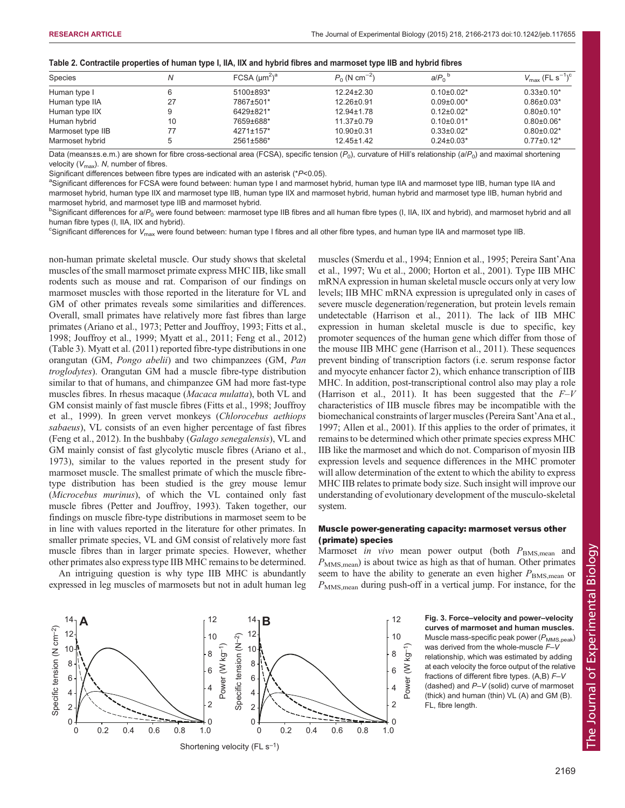<span id="page-3-0"></span>

|  |  | Table 2. Contractile properties of human type I, IIA, IIX and hybrid fibres and marmoset type IIB and hybrid fibres |
|--|--|---------------------------------------------------------------------------------------------------------------------|
|--|--|---------------------------------------------------------------------------------------------------------------------|

| <b>Species</b>    | N  | FCSA (µm <sup>2</sup> ) <sup>a</sup> | $P_0$ (N cm <sup>-2</sup> ) | $a/P_0^b$         | $V_{\rm max}$ (FL s <sup>-1</sup> ) <sup>c</sup> |
|-------------------|----|--------------------------------------|-----------------------------|-------------------|--------------------------------------------------|
| Human type I      |    | 5100±893*                            | $12.24 \pm 2.30$            | $0.10\pm0.02*$    | $0.33 \pm 0.10^*$                                |
| Human type IIA    | 27 | 7867±501*                            | $12.26 \pm 0.91$            | $0.09 \pm 0.00*$  | $0.86 \pm 0.03*$                                 |
| Human type IIX    |    | 6429±821*                            | $12.94 \pm 1.78$            | $0.12\pm0.02*$    | $0.80 \pm 0.10^*$                                |
| Human hybrid      | 10 | 7659±688*                            | $11.37 \pm 0.79$            | $0.10\pm0.01*$    | $0.80 \pm 0.06*$                                 |
| Marmoset type IIB | 77 | $4271 \pm 157$ *                     | $10.90 \pm 0.31$            | $0.33 \pm 0.02$ * | $0.80 \pm 0.02*$                                 |
| Marmoset hybrid   |    | 2561±586*                            | $12.45 \pm 1.42$            | $0.24 \pm 0.03*$  | $0.77 \pm 0.12^*$                                |

Data (means±s.e.m.) are shown for fibre cross-sectional area (FCSA), specific tension ( $P_0$ ), curvature of Hill's relationship (a/ $P_0$ ) and maximal shortening velocity  $(V_{\text{max}})$ . N, number of fibres.

Significant differences between fibre types are indicated with an asterisk ( $P$ <0.05).

asignificant differences for FCSA were found between: human type I and marmoset hybrid, human type IIA and marmoset type IIB, human type IIA and marmoset hybrid, human type IIX and marmoset type IIB, human type IIX and marmoset hybrid, human hybrid and marmoset type IIB, human hybrid and marmoset hybrid, and marmoset type IIB and marmoset hybrid.

 $^{\rm b}$ Significant differences for al $P_{0}$  were found between: marmoset type IIB fibres and all human fibre types (I, IIA, IIX and hybrid), and marmoset hybrid and all human fibre types (I, IIA, IIX and hybrid).

 $^c$ Significant differences for  $V_{\rm max}$  were found between: human type I fibres and all other fibre types, and human type IIA and marmoset type IIB.

non-human primate skeletal muscle. Our study shows that skeletal muscles of the small marmoset primate express MHC IIB, like small rodents such as mouse and rat. Comparison of our findings on marmoset muscles with those reported in the literature for VL and GM of other primates reveals some similarities and differences. Overall, small primates have relatively more fast fibres than large primates [\(Ariano et al., 1973; Petter and Jouffroy, 1993; Fitts et al.,](#page-7-0) [1998](#page-7-0); [Jouffroy et al., 1999](#page-7-0); [Myatt et al., 2011; Feng et al., 2012\)](#page-7-0) [\(Table 3\)](#page-4-0). [Myatt et al. \(2011\)](#page-7-0) reported fibre-type distributions in one orangutan (GM, Pongo abelii) and two chimpanzees (GM, Pan troglodytes). Orangutan GM had a muscle fibre-type distribution similar to that of humans, and chimpanzee GM had more fast-type muscles fibres. In rhesus macaque (Macaca mulatta), both VL and GM consist mainly of fast muscle fibres ([Fitts et al., 1998](#page-7-0); [Jouffroy](#page-7-0) [et al., 1999](#page-7-0)). In green vervet monkeys (Chlorocebus aethiops sabaeus), VL consists of an even higher percentage of fast fibres [\(Feng et al., 2012](#page-7-0)). In the bushbaby (Galago senegalensis), VL and GM mainly consist of fast glycolytic muscle fibres ([Ariano et al.,](#page-7-0) [1973](#page-7-0)), similar to the values reported in the present study for marmoset muscle. The smallest primate of which the muscle fibretype distribution has been studied is the grey mouse lemur (Microcebus murinus), of which the VL contained only fast muscle fibres ([Petter and Jouffroy, 1993](#page-7-0)). Taken together, our findings on muscle fibre-type distributions in marmoset seem to be in line with values reported in the literature for other primates. In smaller primate species, VL and GM consist of relatively more fast muscle fibres than in larger primate species. However, whether other primates also express type IIB MHC remains to be determined.

An intriguing question is why type IIB MHC is abundantly expressed in leg muscles of marmosets but not in adult human leg muscles [\(Smerdu et al., 1994](#page-7-0); [Ennion et al., 1995; Pereira Sant](#page-7-0)'Ana [et al., 1997; Wu et al., 2000](#page-7-0); [Horton et al., 2001\)](#page-7-0). Type IIB MHC mRNA expression in human skeletal muscle occurs only at very low levels; IIB MHC mRNA expression is upregulated only in cases of severe muscle degeneration/regeneration, but protein levels remain undetectable ([Harrison et al., 2011\)](#page-7-0). The lack of IIB MHC expression in human skeletal muscle is due to specific, key promoter sequences of the human gene which differ from those of the mouse IIB MHC gene [\(Harrison et al., 2011\)](#page-7-0). These sequences prevent binding of transcription factors (i.e. serum response factor and myocyte enhancer factor 2), which enhance transcription of IIB MHC. In addition, post-transcriptional control also may play a role [\(Harrison et al., 2011\)](#page-7-0). It has been suggested that the  $F-V$ characteristics of IIB muscle fibres may be incompatible with the biomechanical constraints of larger muscles [\(Pereira Sant](#page-7-0)'Ana et al., [1997; Allen et al., 2001](#page-7-0)). If this applies to the order of primates, it remains to be determined which other primate species express MHC IIB like the marmoset and which do not. Comparison of myosin IIB expression levels and sequence differences in the MHC promoter will allow determination of the extent to which the ability to express MHC IIB relates to primate body size. Such insight will improve our understanding of evolutionary development of the musculo-skeletal system.

# Muscle power-generating capacity: marmoset versus other (primate) species

Marmoset in vivo mean power output (both  $P_{\text{BMS,mean}}$  and  $P_{\text{MMS,mean}}$ ) is about twice as high as that of human. Other primates seem to have the ability to generate an even higher  $P_{\text{BMS,mean}}$  or  $P_{\text{MMS,mean}}$  during push-off in a vertical jump. For instance, for the

> curves of marmoset and human muscles. Muscle mass-specific peak power  $(P_{MMS,peak})$ was derived from the whole-muscle  $F-V$ relationship, which was estimated by adding at each velocity the force output of the relative fractions of different fibre types.  $(A,B) F-V$ (dashed) and P–V (solid) curve of marmoset (thick) and human (thin) VL (A) and GM (B). FL, fibre length.

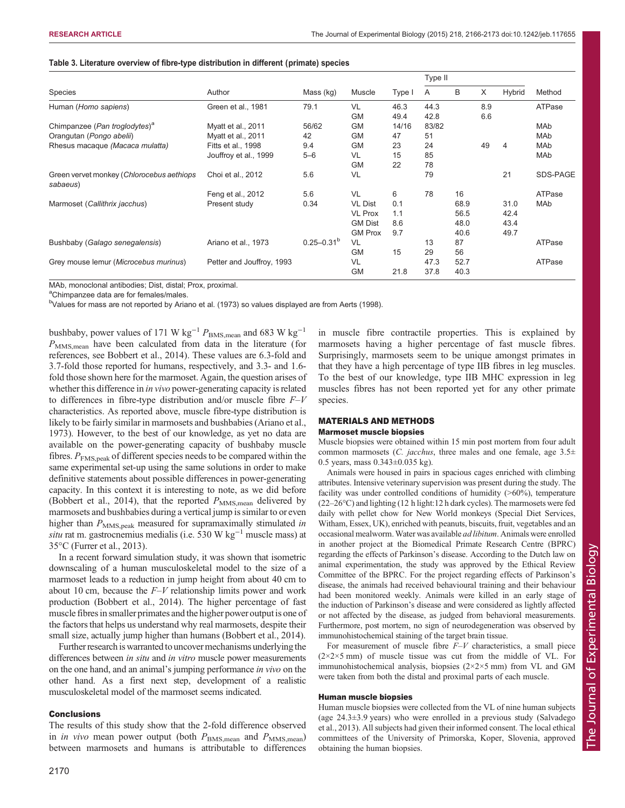| <b>Species</b>                                        | Author                    | Mass (kg)         | Muscle         | Type I | Type II |      |     |        |          |
|-------------------------------------------------------|---------------------------|-------------------|----------------|--------|---------|------|-----|--------|----------|
|                                                       |                           |                   |                |        | A       | B    | X   | Hybrid | Method   |
| Human (Homo sapiens)                                  | Green et al., 1981        | 79.1              | VL             | 46.3   | 44.3    |      | 8.9 |        | ATPase   |
|                                                       |                           |                   | <b>GM</b>      | 49.4   | 42.8    |      | 6.6 |        |          |
| Chimpanzee (Pan troglodytes) <sup>a</sup>             | Myatt et al., 2011        | 56/62             | <b>GM</b>      | 14/16  | 83/82   |      |     |        | MAb      |
| Orangutan (Pongo abelii)                              | Myatt et al., 2011        | 42                | <b>GM</b>      | 47     | 51      |      |     |        | MAb      |
| Rhesus macaque (Macaca mulatta)                       | <b>Fitts et al., 1998</b> | 9.4               | <b>GM</b>      | 23     | 24      |      | 49  | 4      | MAb      |
|                                                       | Jouffroy et al., 1999     | $5 - 6$           | VL             | 15     | 85      |      |     |        | MAb      |
|                                                       |                           |                   | <b>GM</b>      | 22     | 78      |      |     |        |          |
| Green vervet monkey (Chlorocebus aethiops<br>sabaeus) | Choi et al., 2012         | 5.6               | VL             |        | 79      |      |     | 21     | SDS-PAGE |
|                                                       | Feng et al., 2012         | 5.6               | VL             | 6      | 78      | 16   |     |        | ATPase   |
| Marmoset (Callithrix jacchus)                         | Present study             | 0.34              | <b>VL Dist</b> | 0.1    |         | 68.9 |     | 31.0   | MAb      |
|                                                       |                           |                   | <b>VL Prox</b> | 1.1    |         | 56.5 |     | 42.4   |          |
|                                                       |                           |                   | <b>GM Dist</b> | 8.6    |         | 48.0 |     | 43.4   |          |
|                                                       |                           |                   | <b>GM Prox</b> | 9.7    |         | 40.6 |     | 49.7   |          |
| Bushbaby (Galago senegalensis)                        | Ariano et al., 1973       | $0.25 - 0.31^{b}$ | VL             |        | 13      | 87   |     |        | ATPase   |
|                                                       |                           |                   | <b>GM</b>      | 15     | 29      | 56   |     |        |          |
| Grey mouse lemur (Microcebus murinus)                 | Petter and Jouffroy, 1993 |                   | VL             |        | 47.3    | 52.7 |     |        | ATPase   |
|                                                       |                           |                   | <b>GM</b>      | 21.8   | 37.8    | 40.3 |     |        |          |

#### <span id="page-4-0"></span>Table 3. Literature overview of fibre-type distribution in different (primate) species

MAb, monoclonal antibodies; Dist, distal; Prox, proximal.

<sup>a</sup>Chimpanzee data are for females/males.

<sup>b</sup>Values for mass are not reported by [Ariano et al. \(1973\)](#page-7-0) so values displayed are from [Aerts \(1998](#page-7-0)).

bushbaby, power values of 171 W kg<sup>-1</sup>  $P_{\text{BMS,mean}}$  and 683 W kg<sup>-1</sup>  $P_{\text{MMS,mean}}$  have been calculated from data in the literature (for references, see [Bobbert et al., 2014](#page-7-0)). These values are 6.3-fold and 3.7-fold those reported for humans, respectively, and 3.3- and 1.6 fold those shown here for the marmoset. Again, the question arises of whether this difference in *in vivo* power-generating capacity is related to differences in fibre-type distribution and/or muscle fibre  $F-V$ characteristics. As reported above, muscle fibre-type distribution is likely to be fairly similar in marmosets and bushbabies [\(Ariano et al.,](#page-7-0) [1973\)](#page-7-0). However, to the best of our knowledge, as yet no data are available on the power-generating capacity of bushbaby muscle fibres.  $P_{\text{FMS,peak}}$  of different species needs to be compared within the same experimental set-up using the same solutions in order to make definitive statements about possible differences in power-generating capacity. In this context it is interesting to note, as we did before [\(Bobbert et al., 2014\)](#page-7-0), that the reported  $P_{\text{MMS,mean}}$  delivered by marmosets and bushbabies during a vertical jump is similar to or even higher than  $P_{\text{MMS,peak}}$  measured for supramaximally stimulated in situ rat m. gastrocnemius medialis (i.e. 530 W kg<sup>-1</sup> muscle mass) at 35°C ([Furrer et al., 2013](#page-7-0)).

In a recent forward simulation study, it was shown that isometric downscaling of a human musculoskeletal model to the size of a marmoset leads to a reduction in jump height from about 40 cm to about 10 cm, because the  $F-V$  relationship limits power and work production [\(Bobbert et al., 2014\)](#page-7-0). The higher percentage of fast muscle fibres in smaller primates and the higher power output is one of the factors that helps us understand why real marmosets, despite their small size, actually jump higher than humans ([Bobbert et al., 2014](#page-7-0)).

Further research is warranted to uncover mechanisms underlying the differences between in situ and in vitro muscle power measurements on the one hand, and an animal's jumping performance in vivo on the other hand. As a first next step, development of a realistic musculoskeletal model of the marmoset seems indicated.

## **Conclusions**

The results of this study show that the 2-fold difference observed in *in vivo* mean power output (both  $P_{\text{BMS,mean}}$  and  $P_{\text{MMS,mean}}$ ) between marmosets and humans is attributable to differences

in muscle fibre contractile properties. This is explained by marmosets having a higher percentage of fast muscle fibres. Surprisingly, marmosets seem to be unique amongst primates in that they have a high percentage of type IIB fibres in leg muscles. To the best of our knowledge, type IIB MHC expression in leg muscles fibres has not been reported yet for any other primate species.

## MATERIALS AND METHODS Marmoset muscle biopsies

Muscle biopsies were obtained within 15 min post mortem from four adult common marmosets (*C. jacchus*, three males and one female, age  $3.5\pm$ 0.5 years, mass 0.343±0.035 kg).

Animals were housed in pairs in spacious cages enriched with climbing attributes. Intensive veterinary supervision was present during the study. The facility was under controlled conditions of humidity (>60%), temperature (22–26°C) and lighting (12 h light:12 h dark cycles). The marmosets were fed daily with pellet chow for New World monkeys (Special Diet Services, Witham, Essex, UK), enriched with peanuts, biscuits, fruit, vegetables and an occasional mealworm.Water was available ad libitum. Animals were enrolled in another project at the Biomedical Primate Research Centre (BPRC) regarding the effects of Parkinson's disease. According to the Dutch law on animal experimentation, the study was approved by the Ethical Review Committee of the BPRC. For the project regarding effects of Parkinson's disease, the animals had received behavioural training and their behaviour had been monitored weekly. Animals were killed in an early stage of the induction of Parkinson's disease and were considered as lightly affected or not affected by the disease, as judged from behavioral measurements. Furthermore, post mortem, no sign of neurodegeneration was observed by immunohistochemical staining of the target brain tissue.

For measurement of muscle fibre  $F-V$  characteristics, a small piece  $(2\times2\times5$  mm) of muscle tissue was cut from the middle of VL. For immunohistochemical analysis, biopsies (2×2×5 mm) from VL and GM were taken from both the distal and proximal parts of each muscle.

## Human muscle biopsies

Human muscle biopsies were collected from the VL of nine human subjects (age 24.3±3.9 years) who were enrolled in a previous study ([Salvadego](#page-7-0) [et al., 2013\)](#page-7-0). All subjects had given their informed consent. The local ethical committees of the University of Primorska, Koper, Slovenia, approved obtaining the human biopsies.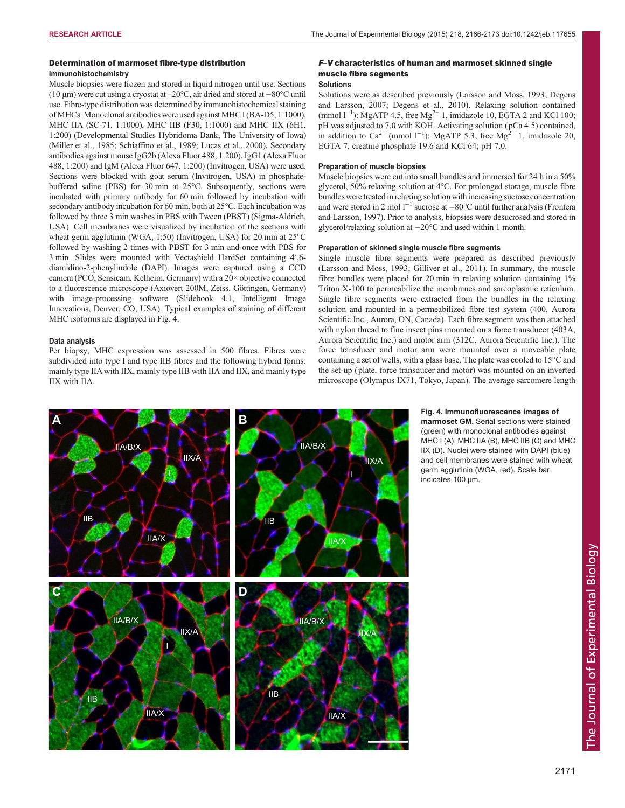## Determination of marmoset fibre-type distribution Immunohistochemistry

Muscle biopsies were frozen and stored in liquid nitrogen until use. Sections (10 µm) were cut using a cryostat at –20°C, air dried and stored at −80°C until use. Fibre-type distribution was determined by immunohistochemical staining ofMHCs. Monoclonal antibodies were used against MHC I (BA-D5, 1:1000), MHC IIA (SC-71, 1:1000), MHC IIB (F30, 1:1000) and MHC IIX (6H1, 1:200) (Developmental Studies Hybridoma Bank, The University of Iowa) ([Miller et al., 1985; Schiaffino et al., 1989; Lucas et al., 2000](#page-7-0)). Secondary antibodies against mouse IgG2b (Alexa Fluor 488, 1:200), IgG1 (Alexa Fluor 488, 1:200) and IgM (Alexa Fluor 647, 1:200) (Invitrogen, USA) were used. Sections were blocked with goat serum (Invitrogen, USA) in phosphatebuffered saline (PBS) for 30 min at 25°C. Subsequently, sections were incubated with primary antibody for 60 min followed by incubation with secondary antibody incubation for 60 min, both at 25°C. Each incubation was followed by three 3 min washes in PBS with Tween (PBST) (Sigma-Aldrich, USA). Cell membranes were visualized by incubation of the sections with wheat germ agglutinin (WGA, 1:50) (Invitrogen, USA) for 20 min at 25°C followed by washing 2 times with PBST for 3 min and once with PBS for 3 min. Slides were mounted with Vectashield HardSet containing 4′,6 diamidino-2-phenylindole (DAPI). Images were captured using a CCD camera (PCO, Sensicam, Kelheim, Germany) with a 20× objective connected to a fluorescence microscope (Axiovert 200M, Zeiss, Göttingen, Germany) with image-processing software (Slidebook 4.1, Intelligent Image Innovations, Denver, CO, USA). Typical examples of staining of different MHC isoforms are displayed in Fig. 4.

#### Data analysis

Per biopsy, MHC expression was assessed in 500 fibres. Fibres were subdivided into type I and type IIB fibres and the following hybrid forms: mainly type IIA with IIX, mainly type IIB with IIA and IIX, and mainly type IIX with IIA.

# F–V characteristics of human and marmoset skinned single muscle fibre segments

# Solutions

Solutions were as described previously ([Larsson and Moss, 1993; Degens](#page-7-0) [and Larsson, 2007](#page-7-0); [Degens et al., 2010](#page-7-0)). Relaxing solution contained (mmol  $1^{-1}$ ): MgATP 4.5, free Mg<sup>2+</sup> 1, imidazole 10, EGTA 2 and KCl 100; pH was adjusted to 7.0 with KOH. Activating solution ( pCa 4.5) contained, in addition to Ca<sup>2+</sup> (mmol 1<sup>-1</sup>): MgATP 5.3, free Mg<sup>2+</sup> 1, imidazole 20, EGTA 7, creatine phosphate 19.6 and KCl 64; pH 7.0.

#### Preparation of muscle biopsies

Muscle biopsies were cut into small bundles and immersed for 24 h in a 50% glycerol, 50% relaxing solution at 4°C. For prolonged storage, muscle fibre bundles were treated in relaxing solution with increasing sucrose concentration and were stored in 2 mol  $1^{-1}$  sucrose at  $-80^{\circ}$ C until further analysis [\(Frontera](#page-7-0) [and Larsson, 1997\)](#page-7-0). Prior to analysis, biopsies were desucrosed and stored in glycerol/relaxing solution at −20°C and used within 1 month.

#### Preparation of skinned single muscle fibre segments

Single muscle fibre segments were prepared as described previously ([Larsson and Moss, 1993; Gilliver et al., 2011\)](#page-7-0). In summary, the muscle fibre bundles were placed for 20 min in relaxing solution containing 1% Triton X-100 to permeabilize the membranes and sarcoplasmic reticulum. Single fibre segments were extracted from the bundles in the relaxing solution and mounted in a permeabilized fibre test system (400, Aurora Scientific Inc., Aurora, ON, Canada). Each fibre segment was then attached with nylon thread to fine insect pins mounted on a force transducer (403A, Aurora Scientific Inc.) and motor arm (312C, Aurora Scientific Inc.). The force transducer and motor arm were mounted over a moveable plate containing a set of wells, with a glass base. The plate was cooled to 15°C and the set-up ( plate, force transducer and motor) was mounted on an inverted microscope (Olympus IX71, Tokyo, Japan). The average sarcomere length



Fig. 4. Immunofluorescence images of marmoset GM. Serial sections were stained (green) with monoclonal antibodies against MHC I (A), MHC IIA (B), MHC IIB (C) and MHC IIX (D). Nuclei were stained with DAPI (blue) and cell membranes were stained with wheat germ agglutinin (WGA, red). Scale bar indicates 100 µm.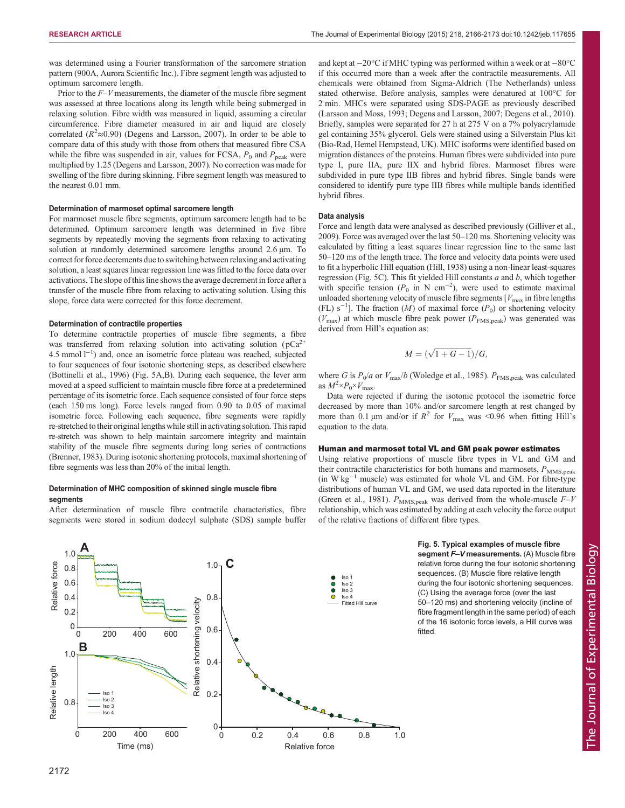was determined using a Fourier transformation of the sarcomere striation pattern (900A, Aurora Scientific Inc.). Fibre segment length was adjusted to optimum sarcomere length.

Prior to the  $F-V$  measurements, the diameter of the muscle fibre segment was assessed at three locations along its length while being submerged in relaxing solution. Fibre width was measured in liquid, assuming a circular circumference. Fibre diameter measured in air and liquid are closely correlated ( $R^2 \approx 0.90$ ) ([Degens and Larsson, 2007](#page-7-0)). In order to be able to compare data of this study with those from others that measured fibre CSA while the fibre was suspended in air, values for FCSA,  $P_0$  and  $P_{peak}$  were multiplied by 1.25 ([Degens and Larsson, 2007\)](#page-7-0). No correction was made for swelling of the fibre during skinning. Fibre segment length was measured to the nearest 0.01 mm.

#### Determination of marmoset optimal sarcomere length

For marmoset muscle fibre segments, optimum sarcomere length had to be determined. Optimum sarcomere length was determined in five fibre segments by repeatedly moving the segments from relaxing to activating solution at randomly determined sarcomere lengths around 2.6  $\mu$ m. To correct for force decrements due to switching between relaxing and activating solution, a least squares linear regression line was fitted to the force data over activations. The slope of this line shows the average decrement in force after a transfer of the muscle fibre from relaxing to activating solution. Using this slope, force data were corrected for this force decrement.

#### Determination of contractile properties

To determine contractile properties of muscle fibre segments, a fibre was transferred from relaxing solution into activating solution ( $pCa<sup>2+</sup>$ 4.5 mmol l<sup>-1</sup>) and, once an isometric force plateau was reached, subjected to four sequences of four isotonic shortening steps, as described elsewhere ([Bottinelli et al., 1996\)](#page-7-0) (Fig. 5A,B). During each sequence, the lever arm moved at a speed sufficient to maintain muscle fibre force at a predetermined percentage of its isometric force. Each sequence consisted of four force steps (each 150 ms long). Force levels ranged from 0.90 to 0.05 of maximal isometric force. Following each sequence, fibre segments were rapidly re-stretched to their original lengths while still in activating solution. This rapid re-stretch was shown to help maintain sarcomere integrity and maintain stability of the muscle fibre segments during long series of contractions ([Brenner, 1983](#page-7-0)). During isotonic shortening protocols, maximal shortening of fibre segments was less than 20% of the initial length.

#### Determination of MHC composition of skinned single muscle fibre segments

After determination of muscle fibre contractile characteristics, fibre segments were stored in sodium dodecyl sulphate (SDS) sample buffer



and kept at −20°C if MHC typing was performed within a week or at −80°C if this occurred more than a week after the contractile measurements. All chemicals were obtained from Sigma-Aldrich (The Netherlands) unless stated otherwise. Before analysis, samples were denatured at 100°C for 2 min. MHCs were separated using SDS-PAGE as previously described ([Larsson and Moss, 1993; Degens and Larsson, 2007](#page-7-0); [Degens et al., 2010](#page-7-0)). Briefly, samples were separated for 27 h at 275 V on a 7% polyacrylamide gel containing 35% glycerol. Gels were stained using a Silverstain Plus kit (Bio-Rad, Hemel Hempstead, UK). MHC isoforms were identified based on migration distances of the proteins. Human fibres were subdivided into pure type I, pure IIA, pure IIX and hybrid fibres. Marmoset fibres were subdivided in pure type IIB fibres and hybrid fibres. Single bands were considered to identify pure type IIB fibres while multiple bands identified hybrid fibres.

#### Data analysis

Force and length data were analysed as described previously [\(Gilliver et al.,](#page-7-0) [2009\)](#page-7-0). Force was averaged over the last 50–120 ms. Shortening velocity was calculated by fitting a least squares linear regression line to the same last 50–120 ms of the length trace. The force and velocity data points were used to fit a hyperbolic Hill equation ([Hill, 1938\)](#page-7-0) using a non-linear least-squares regression (Fig. 5C). This fit yielded Hill constants  $a$  and  $b$ , which together with specific tension ( $P_0$  in N cm<sup>-2</sup>), were used to estimate maximal unloaded shortening velocity of muscle fibre segments  $[V_{\text{max}}]$  in fibre lengths (FL)  $s^{-1}$ ]. The fraction (M) of maximal force (P<sub>0</sub>) or shortening velocity  $(V_{\text{max}})$  at which muscle fibre peak power  $(P_{\text{FMS,peak}})$  was generated was derived from Hill's equation as:

$$
M = (\sqrt{1+G-1})/G,
$$

where G is  $P_0/a$  or  $V_{\text{max}}/b$  [\(Woledge et al., 1985](#page-7-0)).  $P_{\text{FMS,peak}}$  was calculated as  $M^2 \times P_0 \times V_{\text{max}}$ .

Data were rejected if during the isotonic protocol the isometric force decreased by more than 10% and/or sarcomere length at rest changed by more than 0.1 µm and/or if  $R^2$  for  $V_{\text{max}}$  was <0.96 when fitting Hill's equation to the data.

#### Human and marmoset total VL and GM peak power estimates

Using relative proportions of muscle fibre types in VL and GM and their contractile characteristics for both humans and marmosets,  $P_{\text{MMS,peak}}$  $(in W kg<sup>-1</sup> muscle) was estimated for whole VL and GM. For fibre-type$ distributions of human VL and GM, we used data reported in the literature ([Green et al., 1981\)](#page-7-0).  $P_{\text{MMS,peak}}$  was derived from the whole-muscle  $F-V$ relationship, which was estimated by adding at each velocity the force output of the relative fractions of different fibre types.

> Fig. 5. Typical examples of muscle fibre segment F-V measurements. (A) Muscle fibre relative force during the four isotonic shortening sequences. (B) Muscle fibre relative length during the four isotonic shortening sequences. (C) Using the average force (over the last 50–120 ms) and shortening velocity (incline of fibre fragment length in the same period) of each of the 16 isotonic force levels, a Hill curve was fitted.